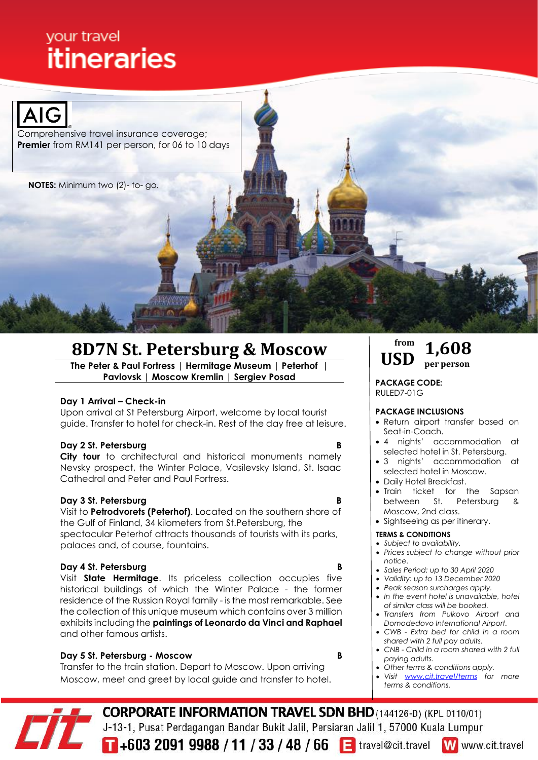# your travel **itineraries**



Comprehensive travel insurance coverage; **Premier** from RM141 per person, for 06 to 10 days

**NOTES:** Minimum two (2)- to- go.

# **8D7N St. Petersburg & Moscow**

**The Peter & Paul Fortress | Hermitage Museum | Peterhof | Pavlovsk | Moscow Kremlin | Sergiev Posad**

# **Day 1 Arrival – Check-in**

 Upon arrival at St Petersburg Airport, welcome by local tourist guide. Transfer to hotel for check-in. Rest of the day free at leisure.

# **Day 2 St. Petersburg**

**City tour** to architectural and historical monuments namely Nevsky prospect, the Winter Palace, Vasilevsky Island, St. Isaac Cathedral and Peter and Paul Fortress.

# **Day 3 St. Petersburg B**

 Visit to **Petrodvorets (Peterhof)**. Located on the southern shore of the Gulf of Finland, 34 kilometers from St.Petersburg, the spectacular Peterhof attracts thousands of tourists with its parks, palaces and, of course, fountains.

# **Day 4 St. Petersburg**

Visit **State Hermitage**. Its priceless collection occupies five historical buildings of which the Winter Palace - the former residence of the Russian Royal family - is the most remarkable. See the collection of this unique museum which contains over 3 million exhibits including the **paintings of Leonardo da Vinci and Raphael** and other famous artists.

# **Day 5 St. Petersburg - Moscow B**

 Transfer to the train station. Depart to Moscow. Upon arriving Moscow, meet and greet by local guide and transfer to hotel.

#### **from USD 1,608 per person**

**PACKAGE CODE:** RULED7-01G

### **PACKAGE INCLUSIONS**

- Return airport transfer based on Seat-in-Coach.
- 4 nights' accommodation at selected hotel in St. Petersburg.
- 3 nights' accommodation at selected hotel in Moscow.
- Daily Hotel Breakfast.
- Train ticket for the Sapsan between St. Petersburg & Moscow, 2nd class.
- Sightseeing as per itinerary.

### **TERMS & CONDITIONS**

- *Subject to availability.*
- *Prices subject to change without prior notice.*
- *Sales Period: up to 30 April 2020*
- *Validity: up to 13 December 2020*
- *Peak season surcharges apply.*
- *In the event hotel is unavailable, hotel of similar class will be booked.*
- *Transfers from Pulkovo Airport and Domodedovo International Airport.*
- *CWB - Extra bed for child in a room shared with 2 full pay adults.*
- *CNB - Child in a room shared with 2 full paying adults.*
- *Other terms & conditions apply.*
- *Visit [www.cit.travel/terms](http://www.cit.travel/terms) for more terms & conditions.*

**CORPORATE INFORMATION TRAVEL SDN BHD**(144126-D) (KPL 0110/01) J-13-1, Pusat Perdagangan Bandar Bukit Jalil, Persiaran Jalil 1, 57000 Kuala Lumpur

148 / 66 <sup>1</sup> travel@cit.travel

W www.cit.travel